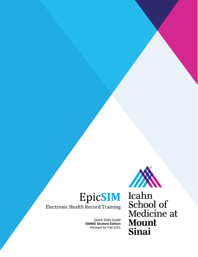

Electronic Health Record Training

Quick Start Guide **ISMMS Student Edition** Revised for Fall 2021

Icahn School of<br>Medicine at **Mount** Sinai

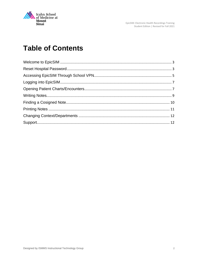

EpicSIM: Electronic Health Recordings Training<br>Student Edition | Revised for Fall 2021

# **Table of Contents**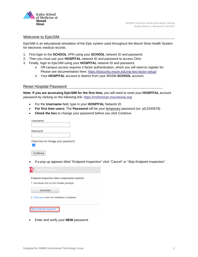

#### <span id="page-2-0"></span>Welcome to EpicSIM

EpicSIM is an educational simulation of the Epic system used throughout the Mount Sinai Health System for electronic medical records.

- 1. First login to the **SCHOOL** VPN using your **SCHOOL** network ID and password.
- 2. Then you must use your **HOSPITAL** network ID and password to access Citrix
- 3. Finally, login to EpicSIM using your **HOSPITAL** network ID and password.
	- o Off-campus access requires 2-factor authentication, which you will need to register for. Please see documentation here:<https://itsecurity.mssm.edu/vip-two-factor-setup/>
	- o Your **HOSPITAL** account is distinct from your MSSM **SCHOOL** account.

#### <span id="page-2-1"></span>Reset Hospital Password

**Note: If you are accessing EpicSIM for the first time,** you will need to reset your **HOSPITAL** account password by clicking on the following link:<https://mshmsvpn.mountsinai.org/>

- For the **Username** field, type in your **HOSPITAL** Network ID.
- **For first time users:** The **Password** will be your temporary password (ex: jd1234567\$)
- **Check the box** to change your password before you click Continue.

| Username                           |  |
|------------------------------------|--|
|                                    |  |
| Password                           |  |
|                                    |  |
| Check box to change your password. |  |
| Continue                           |  |

• If a pop up appears titled "Endpoint Inspection" click "Cancel" or "Skip Endpoint Inspection".



• Enter and verify your **NEW** password.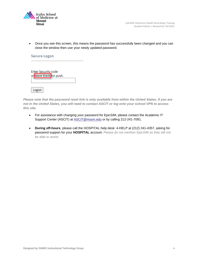

• Once you see this screen, this means the password has successfully been changed and you can close the window then use your newly updated password.

| <b>Secure Logon</b>                             |
|-------------------------------------------------|
| Enter Security code<br>or leave blank for push. |
| Logon                                           |

*Please note that the password reset link is only available from within the United States. If you are not in the United States, you will need to contact ASCIT or log onto your school VPN to access this site.*

- For assistance with changing your password for EpicSIM, please contact the Academic IT Support Center (ASCIT) at **ASCIT@mssm.edu** or by calling 212-241-7091.
- **During off-hours**, please call the HOSPITAL help desk: 4-HELP at (212) 241-4357, asking for password support for your **HOSPITAL** account. Please do not mention EpicSIM as they will not be able to assist.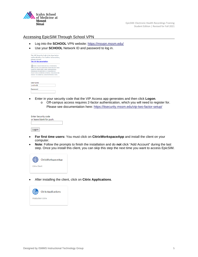

# <span id="page-4-0"></span>Accessing EpicSIM Through School VPN

- Log into the **SCHOOL** VPN website:<https://msvpn.mssm.edu/>
- Use your **SCHOOL** Network ID and password to log in.



| Username |  |
|----------|--|
| smithn01 |  |
|          |  |
| Password |  |

- Enter in your security code that the VIP Access app generates and then click **Logon**.
	- o Off-campus access requires 2-factor authentication, which you will need to register for. Please see documentation here:<https://itsecurity.mssm.edu/vip-two-factor-setup/>

| <b>Enter Security code</b> |  |
|----------------------------|--|
| or leave blank for push.   |  |
|                            |  |
|                            |  |
| Logon                      |  |

- **For first time users:** You must click on **CitrixWorkspaceApp** and install the client on your computer.
- **Note**: Follow the prompts to finish the installation and do **not** click "Add Account" during the last step. Once you install this client, you can skip this step the next time you want to access EpicSIM.



• After installing the client, click on **Citrix Applications**.

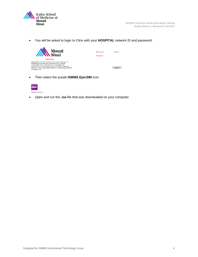

• You will be asked to login to Citrix with your **HOSPITAL** network ID and password.



• Then select the purple **ISMMS EpicSIM** icon.



• Open and run the **.ica** file that was downloaded on your computer.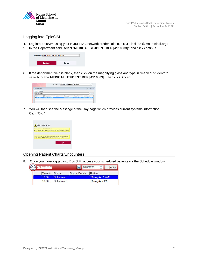

# <span id="page-6-0"></span>Logging into EpicSIM

- 4. Log into EpicSIM using your **HOSPITAL** network credentials. (Do **NOT** include @mountsinai.org)
- 5. In the Department field, select "**MEDICAL STUDENT DEP [4110003]"** and click continue.



6. If the department field is blank, then click on the magnifying glass and type in "medical student" to search for **the MEDICAL STUDENT DEP [4110003]**. Then click Accept.



7. You will then see the Message of the Day page which provides current systems information Click "OK."



# <span id="page-6-1"></span>Opening Patient Charts/Encounters

8. Once you have logged into EpicSIM, access your scheduled patients via the Schedule window.

| $\left( \circlearrowright \right)$ Schedule |                  | 7/28/2020             | Today               |  |
|---------------------------------------------|------------------|-----------------------|---------------------|--|
| Time                                        | <b>Status</b>    | <b>Status Details</b> | Patient             |  |
| 10:00                                       | <b>Scheduled</b> |                       | <b>Thompb, ASMI</b> |  |
| $10 - 00$                                   | Scheduled        |                       | <b>Thompb, LCE</b>  |  |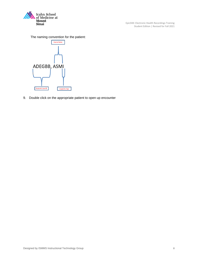

EpicSIM: Electronic Health Recordings Training Student Edition | Revised for Fall 2021

The naming convention for the patient:



9. Double click on the appropriate patient to open up encounter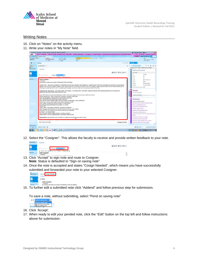

EpicSIM: Electronic Health Recordings Training Student Edition | Revised for Fall 2021

# <span id="page-8-0"></span>Writing Notes

- 10. Click on "Notes" on the activity menu.
- 11. Write your notes in "My Note" field.



12. Select the "Cosigner". This allows the faculty to receive and provide written feedback to your note.



- 13. Click "Accept" to sign note and route to Cosigner. **Note**: Status is defaulted to "Sign on saving note"
- 14. Once the note is accepted and states "Cosign Needed", which means you have successfully submitted and forwarded your note to your selected Cosigner.



**1980.**<br>15. To further edit a submission.<br>15. To further edit a submitted note click "Addend" and follow previous step for submission.

To save a note, without submitting, select "Pend on saving note"



- 16. Click 'Accept'.
- 17. When ready to edit your pended note, click the "Edit" button on the top left and follow instructions above for submission.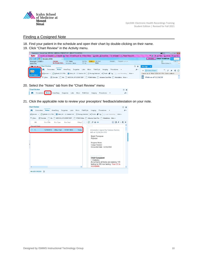

# <span id="page-9-0"></span>Finding a Cosigned Note

- 18. Find your patient in the schedule and open their chart by double-clicking on their name.
- 19. Click "Chart Review" in the Activity menu.

| $\begin{array}{c c c c c} \hline \multicolumn{3}{c }{\mathbf{c}} & \multicolumn{3}{c }{\mathbf{c}} & \multicolumn{3}{c }{\mathbf{R}} & \multicolumn{3}{c }{\mathbf{R}} \end{array}$<br>4* Hyperspace - Mount Sinai - EPICSIM - MEDICAL STUDENT DEP - BRIGHT THOMPSON<br>■0 ▼ |                                                                                                                                              |                                                                                |  |  |  |  |  |
|------------------------------------------------------------------------------------------------------------------------------------------------------------------------------------------------------------------------------------------------------------------------------|----------------------------------------------------------------------------------------------------------------------------------------------|--------------------------------------------------------------------------------|--|--|--|--|--|
|                                                                                                                                                                                                                                                                              | Epic v new of Schedule is in Basket E Chart #E Patient Lists #B Patient Station & Appts # Schedules v @ Templates v & Patient Transport      | A Print - △ Secure G-Log Out -<br>$\overline{p}$<br>$\mathcal{D}(\mathcal{L})$ |  |  |  |  |  |
| ☆   #   药                                                                                                                                                                                                                                                                    | thompb-I, ASM-I                                                                                                                              | <b>BRIGHT THOMPSON</b><br>EPICSIM<br>Search                                    |  |  |  |  |  |
| thompb-I, ASM-I<br>9005776                                                                                                                                                                                                                                                   | MyCha Code: HM Alert<br>PCP: None<br>Researc Program: --, --, --<br>Allergies<br>No Known Aller<br>None<br>Insurance:: None<br><b>FYI: N</b> | e<br>$CSN:1 \triangle$<br>Native Kidney D<br>$\overline{\phantom{a}}$          |  |  |  |  |  |
| <b>A</b> +                                                                                                                                                                                                                                                                   | <b>Chart Review</b><br>⊘                                                                                                                     | This Visit $\mathbf{v}$                                                        |  |  |  |  |  |
| $\overline{D}$                                                                                                                                                                                                                                                               | <b>Notes</b><br>Micro<br>Anes/Surg<br>Surgeries<br>Path/Cyto<br>Encounters<br>Labs<br>Procedures $\rightarrow$<br>Imaging<br>J +             | 『『 』 『 』 『<br>← 国 Sidebar Report<br>a li<br>$\circ$                            |  |  |  |  |  |
| <b>Chart Review</b>                                                                                                                                                                                                                                                          | C Refresh (3:52 PM) E Select All E Deselect All E Review Selected ■C Route Tag Load Remaining More -<br>Preview -                            | Current as of: Wed 12/26 3:51 PM. Click to refresh.                            |  |  |  |  |  |
|                                                                                                                                                                                                                                                                              | Exclude   Me   MEDICAL STUDENT DEP   POMA Notes   Advance Care Plan   Attestations More -<br>$F$ Eilters                                     | Vitals as of 11/14/18<br>ו∍ו                                                   |  |  |  |  |  |

20. Select the "Notes" tab from the "Chart Review" menu

| hart Review |  |  |  |                                                                                | $(2)$ $\times$ |
|-------------|--|--|--|--------------------------------------------------------------------------------|----------------|
|             |  |  |  | Encounters Notes Anes/Surg Surgeries Labs Micro Path/Cyto Imaging Procedures v |                |

21. Click the applicable note to review your preceptors' feedback/attestation on your note.

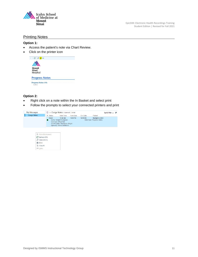

EpicSIM: Electronic Health Recordings Training Student Edition | Revised for Fall 2021

#### <span id="page-10-0"></span>Printing Notes

#### **Option 1:**

- Access the patient's note via Chart Review.
- Click on the printer icon



#### **Option 2:**

- Right click on a note within the In Basket and select print
- Follow the prompts to select your connected printers and print